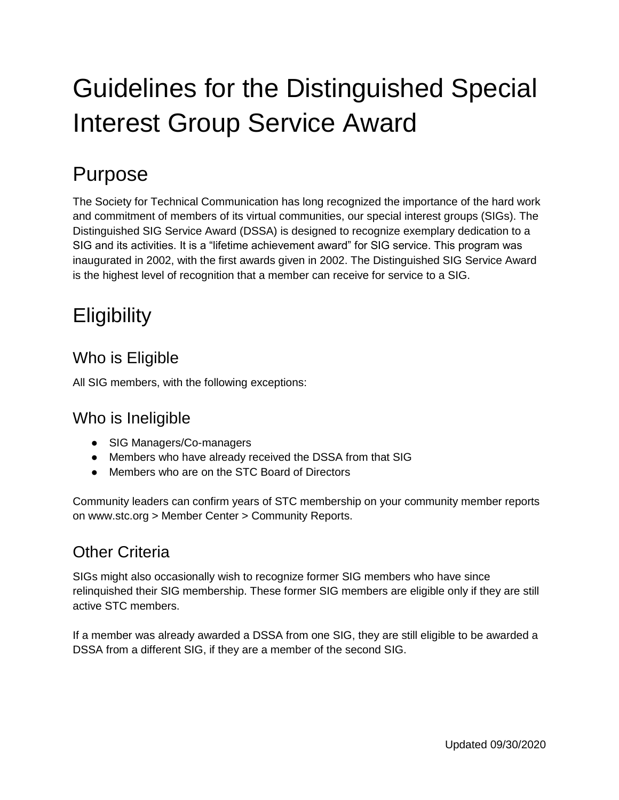# Guidelines for the Distinguished Special Interest Group Service Award

### Purpose

The Society for Technical Communication has long recognized the importance of the hard work and commitment of members of its virtual communities, our special interest groups (SIGs). The Distinguished SIG Service Award (DSSA) is designed to recognize exemplary dedication to a SIG and its activities. It is a "lifetime achievement award" for SIG service. This program was inaugurated in 2002, with the first awards given in 2002. The Distinguished SIG Service Award is the highest level of recognition that a member can receive for service to a SIG.

## **Eligibility**

#### Who is Eligible

All SIG members, with the following exceptions:

#### Who is Ineligible

- SIG Managers/Co-managers
- Members who have already received the DSSA from that SIG
- Members who are on the STC Board of Directors

Community leaders can confirm years of STC membership on your community member reports on www.stc.org > Member Center > Community Reports.

#### Other Criteria

SIGs might also occasionally wish to recognize former SIG members who have since relinquished their SIG membership. These former SIG members are eligible only if they are still active STC members.

If a member was already awarded a DSSA from one SIG, they are still eligible to be awarded a DSSA from a different SIG, if they are a member of the second SIG.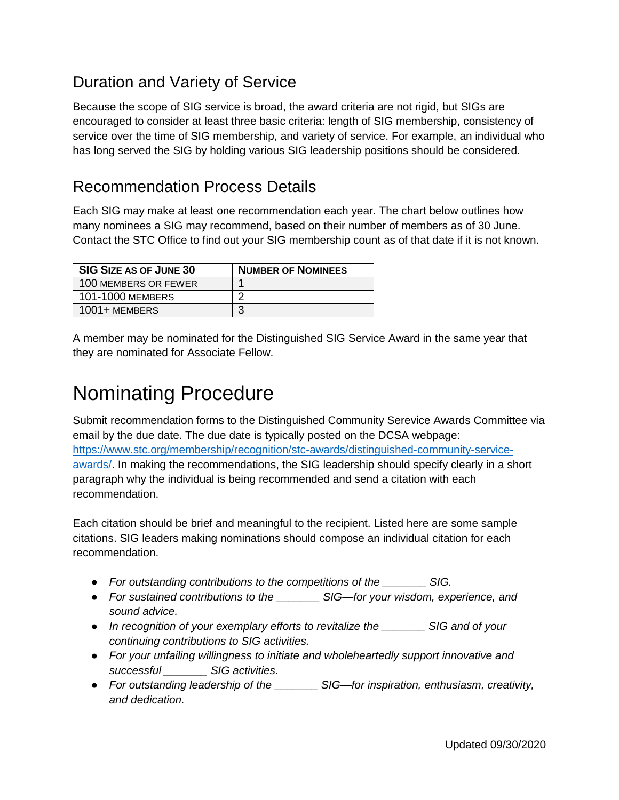#### Duration and Variety of Service

Because the scope of SIG service is broad, the award criteria are not rigid, but SIGs are encouraged to consider at least three basic criteria: length of SIG membership, consistency of service over the time of SIG membership, and variety of service. For example, an individual who has long served the SIG by holding various SIG leadership positions should be considered.

#### Recommendation Process Details

Each SIG may make at least one recommendation each year. The chart below outlines how many nominees a SIG may recommend, based on their number of members as of 30 June. Contact the STC Office to find out your SIG membership count as of that date if it is not known.

| <b>SIG SIZE AS OF JUNE 30</b> | <b>NUMBER OF NOMINEES</b> |
|-------------------------------|---------------------------|
| 100 MEMBERS OR FEWER          |                           |
| 101-1000 MEMBERS              |                           |
| 1001+ MEMBERS                 |                           |

A member may be nominated for the Distinguished SIG Service Award in the same year that they are nominated for Associate Fellow.

### Nominating Procedure

Submit recommendation forms to the Distinguished Community Serevice Awards Committee via email by the due date. The due date is typically posted on the DCSA webpage: [https://www.stc.org/membership/recognition/stc-awards/distinguished-community-service](https://www.stc.org/membership/recognition/stc-awards/distinguished-community-service-awards/)[awards/.](https://www.stc.org/membership/recognition/stc-awards/distinguished-community-service-awards/) In making the recommendations, the SIG leadership should specify clearly in a short paragraph why the individual is being recommended and send a citation with each recommendation.

Each citation should be brief and meaningful to the recipient. Listed here are some sample citations. SIG leaders making nominations should compose an individual citation for each recommendation.

- *For outstanding contributions to the competitions of the \_\_\_\_\_\_\_ SIG.*
- *For sustained contributions to the \_\_\_\_\_\_\_ SIG—for your wisdom, experience, and sound advice.*
- *In recognition of your exemplary efforts to revitalize the \_\_\_\_\_\_\_ SIG and of your continuing contributions to SIG activities.*
- *For your unfailing willingness to initiate and wholeheartedly support innovative and successful \_\_\_\_\_\_\_ SIG activities.*
- *For outstanding leadership of the \_\_\_\_\_\_\_ SIG—for inspiration, enthusiasm, creativity, and dedication.*